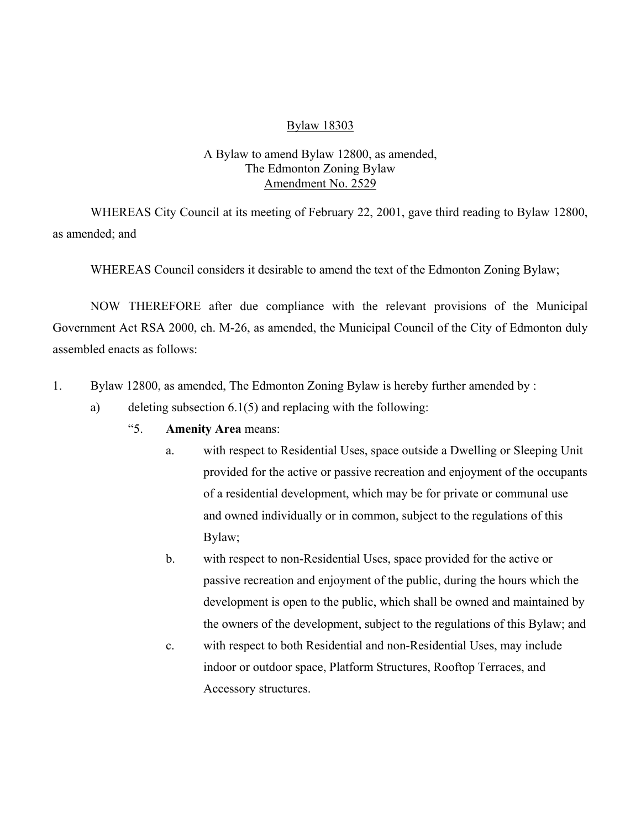### Bylaw 18303

## A Bylaw to amend Bylaw 12800, as amended, The Edmonton Zoning Bylaw Amendment No. 2529

WHEREAS City Council at its meeting of February 22, 2001, gave third reading to Bylaw 12800, as amended; and

WHEREAS Council considers it desirable to amend the text of the Edmonton Zoning Bylaw;

NOW THEREFORE after due compliance with the relevant provisions of the Municipal Government Act RSA 2000, ch. M-26, as amended, the Municipal Council of the City of Edmonton duly assembled enacts as follows:

- 1. Bylaw 12800, as amended, The Edmonton Zoning Bylaw is hereby further amended by :
	- a) deleting subsection  $6.1(5)$  and replacing with the following:
		- "5. **Amenity Area** means:
			- a. with respect to Residential Uses, space outside a Dwelling or Sleeping Unit provided for the active or passive recreation and enjoyment of the occupants of a residential development, which may be for private or communal use and owned individually or in common, subject to the regulations of this Bylaw;
			- b. with respect to non-Residential Uses, space provided for the active or passive recreation and enjoyment of the public, during the hours which the development is open to the public, which shall be owned and maintained by the owners of the development, subject to the regulations of this Bylaw; and
			- c. with respect to both Residential and non-Residential Uses, may include indoor or outdoor space, Platform Structures, Rooftop Terraces, and Accessory structures.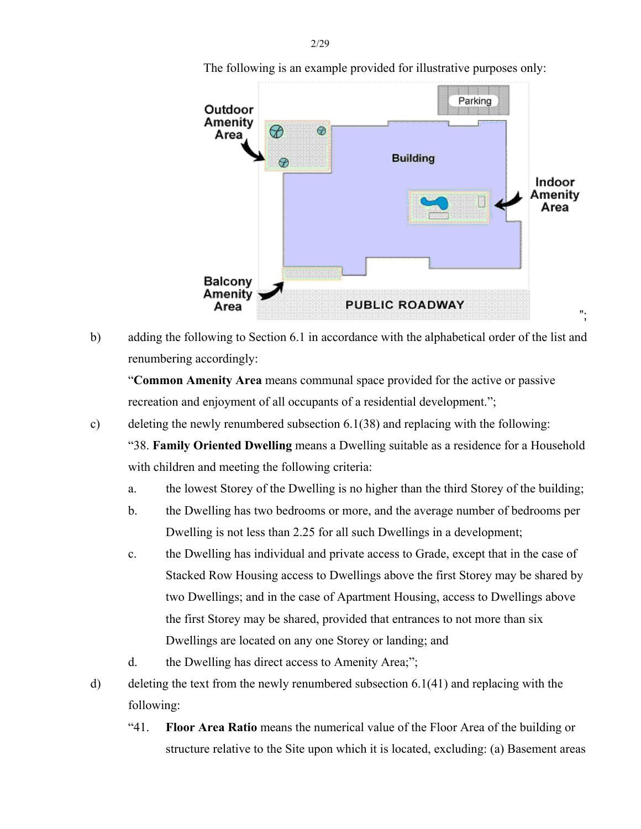

The following is an example provided for illustrative purposes only:

b) adding the following to Section 6.1 in accordance with the alphabetical order of the list and renumbering accordingly:

 "**Common Amenity Area** means communal space provided for the active or passive recreation and enjoyment of all occupants of a residential development.";

c) deleting the newly renumbered subsection 6.1(38) and replacing with the following:

 "38. **Family Oriented Dwelling** means a Dwelling suitable as a residence for a Household with children and meeting the following criteria:

- a. the lowest Storey of the Dwelling is no higher than the third Storey of the building;
- b. the Dwelling has two bedrooms or more, and the average number of bedrooms per Dwelling is not less than 2.25 for all such Dwellings in a development;
- c. the Dwelling has individual and private access to Grade, except that in the case of Stacked Row Housing access to Dwellings above the first Storey may be shared by two Dwellings; and in the case of Apartment Housing, access to Dwellings above the first Storey may be shared, provided that entrances to not more than six Dwellings are located on any one Storey or landing; and
- d. the Dwelling has direct access to Amenity Area;";
- d) deleting the text from the newly renumbered subsection 6.1(41) and replacing with the following:
	- "41. **Floor Area Ratio** means the numerical value of the Floor Area of the building or structure relative to the Site upon which it is located, excluding: (a) Basement areas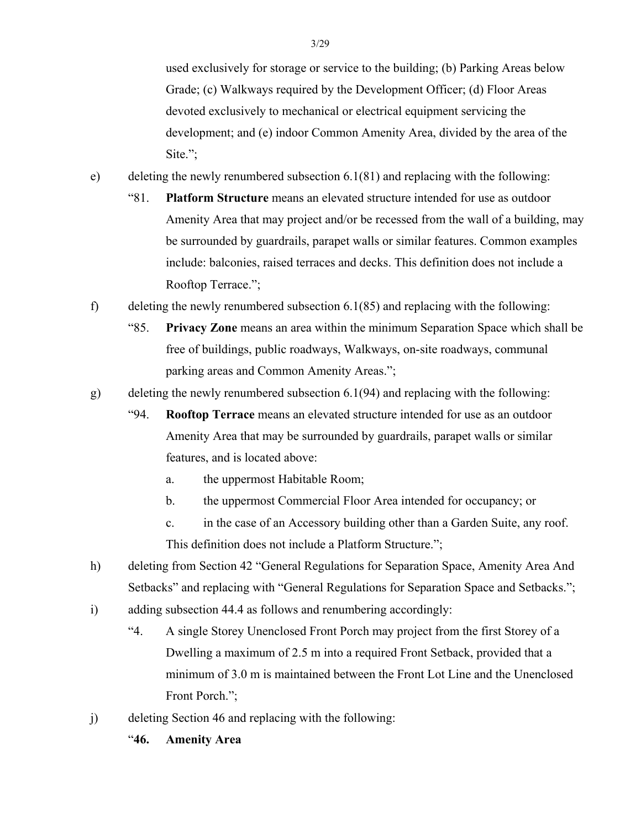used exclusively for storage or service to the building; (b) Parking Areas below Grade; (c) Walkways required by the Development Officer; (d) Floor Areas devoted exclusively to mechanical or electrical equipment servicing the development; and (e) indoor Common Amenity Area, divided by the area of the Site.";

- e) deleting the newly renumbered subsection 6.1(81) and replacing with the following:
	- "81. **Platform Structure** means an elevated structure intended for use as outdoor Amenity Area that may project and/or be recessed from the wall of a building, may be surrounded by guardrails, parapet walls or similar features. Common examples include: balconies, raised terraces and decks. This definition does not include a Rooftop Terrace.";
- f) deleting the newly renumbered subsection  $6.1(85)$  and replacing with the following:
	- "85. **Privacy Zone** means an area within the minimum Separation Space which shall be free of buildings, public roadways, Walkways, on-site roadways, communal parking areas and Common Amenity Areas.";
- g) deleting the newly renumbered subsection 6.1(94) and replacing with the following:
	- "94. **Rooftop Terrace** means an elevated structure intended for use as an outdoor Amenity Area that may be surrounded by guardrails, parapet walls or similar features, and is located above:
		- a. the uppermost Habitable Room;
		- b. the uppermost Commercial Floor Area intended for occupancy; or
		- c. in the case of an Accessory building other than a Garden Suite, any roof. This definition does not include a Platform Structure.";
- h) deleting from Section 42 "General Regulations for Separation Space, Amenity Area And Setbacks" and replacing with "General Regulations for Separation Space and Setbacks.";
- i) adding subsection 44.4 as follows and renumbering accordingly:
	- "4. A single Storey Unenclosed Front Porch may project from the first Storey of a Dwelling a maximum of 2.5 m into a required Front Setback, provided that a minimum of 3.0 m is maintained between the Front Lot Line and the Unenclosed Front Porch.";
- j) deleting Section 46 and replacing with the following:
	- "**46. Amenity Area**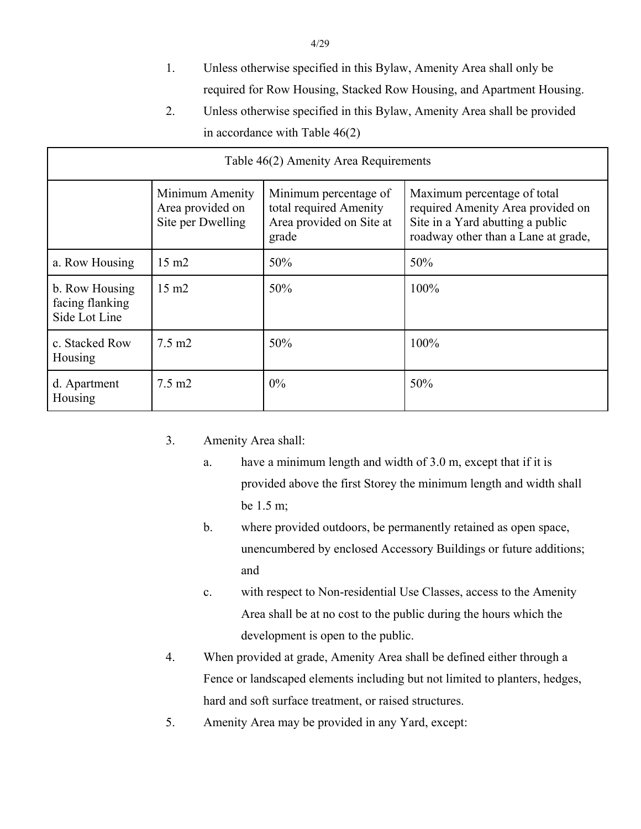- 1. Unless otherwise specified in this Bylaw, Amenity Area shall only be required for Row Housing, Stacked Row Housing, and Apartment Housing.
- 2. Unless otherwise specified in this Bylaw, Amenity Area shall be provided in accordance with Table 46(2)

| Table 46(2) Amenity Area Requirements              |                                                          |                                                                                      |                                                                                                                                             |  |  |  |
|----------------------------------------------------|----------------------------------------------------------|--------------------------------------------------------------------------------------|---------------------------------------------------------------------------------------------------------------------------------------------|--|--|--|
|                                                    | Minimum Amenity<br>Area provided on<br>Site per Dwelling | Minimum percentage of<br>total required Amenity<br>Area provided on Site at<br>grade | Maximum percentage of total<br>required Amenity Area provided on<br>Site in a Yard abutting a public<br>roadway other than a Lane at grade, |  |  |  |
| a. Row Housing                                     | $15 \text{ m}$                                           | 50%                                                                                  | 50%                                                                                                                                         |  |  |  |
| b. Row Housing<br>facing flanking<br>Side Lot Line | $15 \text{ m}2$                                          | 50%                                                                                  | 100%                                                                                                                                        |  |  |  |
| c. Stacked Row<br>Housing                          | $7.5 \text{ m2}$                                         | 50%                                                                                  | 100%                                                                                                                                        |  |  |  |
| d. Apartment<br>Housing                            | $7.5 \text{ m2}$                                         | 0%                                                                                   | 50%                                                                                                                                         |  |  |  |

- 3. Amenity Area shall:
	- a. have a minimum length and width of 3.0 m, except that if it is provided above the first Storey the minimum length and width shall be 1.5 m;
	- b. where provided outdoors, be permanently retained as open space, unencumbered by enclosed Accessory Buildings or future additions; and
	- c. with respect to Non-residential Use Classes, access to the Amenity Area shall be at no cost to the public during the hours which the development is open to the public.
- 4. When provided at grade, Amenity Area shall be defined either through a Fence or landscaped elements including but not limited to planters, hedges, hard and soft surface treatment, or raised structures.
- 5. Amenity Area may be provided in any Yard, except: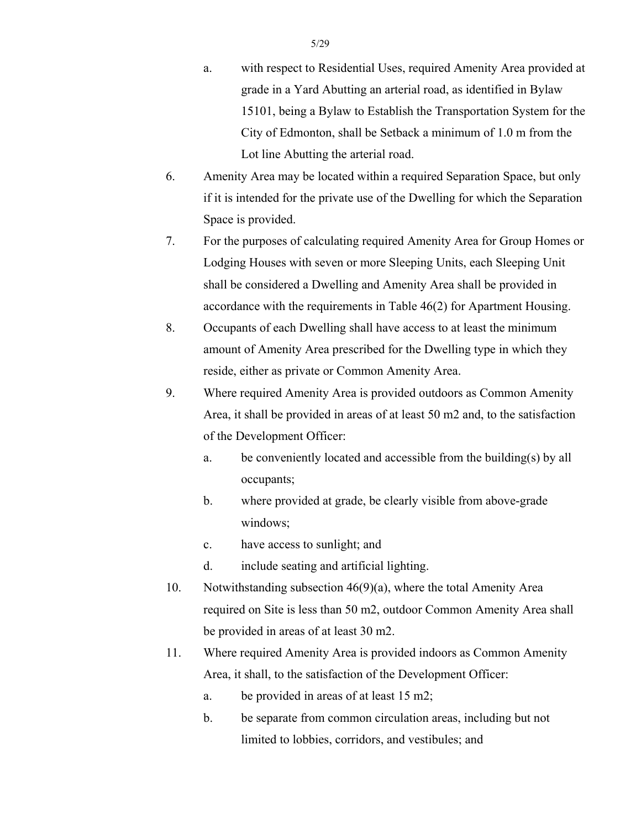- a. with respect to Residential Uses, required Amenity Area provided at grade in a Yard Abutting an arterial road, as identified in Bylaw 15101, being a Bylaw to Establish the Transportation System for the City of Edmonton, shall be Setback a minimum of 1.0 m from the Lot line Abutting the arterial road.
- 6. Amenity Area may be located within a required Separation Space, but only if it is intended for the private use of the Dwelling for which the Separation Space is provided.
- 7. For the purposes of calculating required Amenity Area for Group Homes or Lodging Houses with seven or more Sleeping Units, each Sleeping Unit shall be considered a Dwelling and Amenity Area shall be provided in accordance with the requirements in Table 46(2) for Apartment Housing.
- 8. Occupants of each Dwelling shall have access to at least the minimum amount of Amenity Area prescribed for the Dwelling type in which they reside, either as private or Common Amenity Area.
- 9. Where required Amenity Area is provided outdoors as Common Amenity Area, it shall be provided in areas of at least 50 m2 and, to the satisfaction of the Development Officer:
	- a. be conveniently located and accessible from the building(s) by all occupants;
	- b. where provided at grade, be clearly visible from above-grade windows;
	- c. have access to sunlight; and
	- d. include seating and artificial lighting.
- 10. Notwithstanding subsection 46(9)(a), where the total Amenity Area required on Site is less than 50 m2, outdoor Common Amenity Area shall be provided in areas of at least 30 m2.
- 11. Where required Amenity Area is provided indoors as Common Amenity Area, it shall, to the satisfaction of the Development Officer:
	- a. be provided in areas of at least 15 m2;
	- b. be separate from common circulation areas, including but not limited to lobbies, corridors, and vestibules; and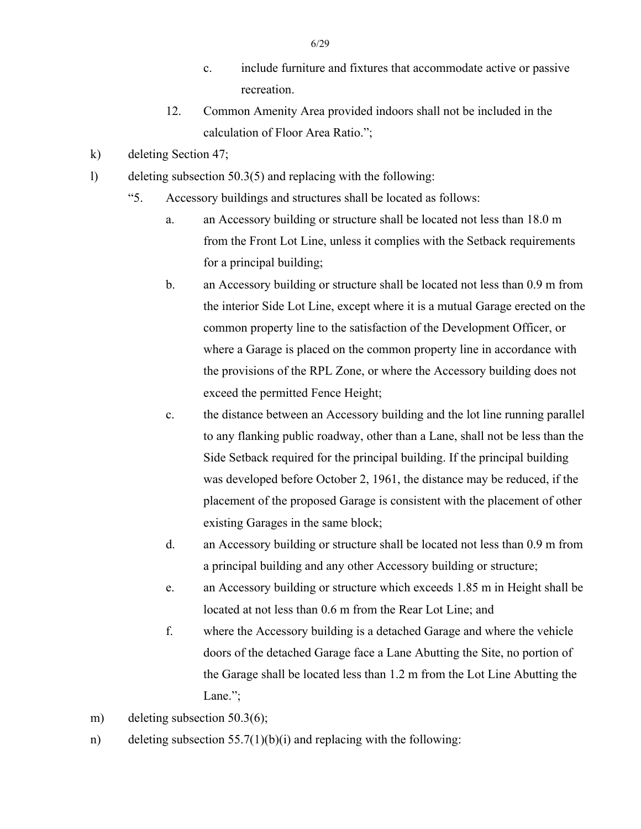- c. include furniture and fixtures that accommodate active or passive recreation.
- 12. Common Amenity Area provided indoors shall not be included in the calculation of Floor Area Ratio.";
- k) deleting Section 47;
- l) deleting subsection 50.3(5) and replacing with the following:
	- "5. Accessory buildings and structures shall be located as follows:
		- a. an Accessory building or structure shall be located not less than 18.0 m from the Front Lot Line, unless it complies with the Setback requirements for a principal building;
		- b. an Accessory building or structure shall be located not less than 0.9 m from the interior Side Lot Line, except where it is a mutual Garage erected on the common property line to the satisfaction of the Development Officer, or where a Garage is placed on the common property line in accordance with the provisions of the RPL Zone, or where the Accessory building does not exceed the permitted Fence Height;
		- c. the distance between an Accessory building and the lot line running parallel to any flanking public roadway, other than a Lane, shall not be less than the Side Setback required for the principal building. If the principal building was developed before October 2, 1961, the distance may be reduced, if the placement of the proposed Garage is consistent with the placement of other existing Garages in the same block;
		- d. an Accessory building or structure shall be located not less than 0.9 m from a principal building and any other Accessory building or structure;
		- e. an Accessory building or structure which exceeds 1.85 m in Height shall be located at not less than 0.6 m from the Rear Lot Line; and
		- f. where the Accessory building is a detached Garage and where the vehicle doors of the detached Garage face a Lane Abutting the Site, no portion of the Garage shall be located less than 1.2 m from the Lot Line Abutting the Lane.";
- m) deleting subsection 50.3(6);
- n) deleting subsection  $55.7(1)(b)(i)$  and replacing with the following: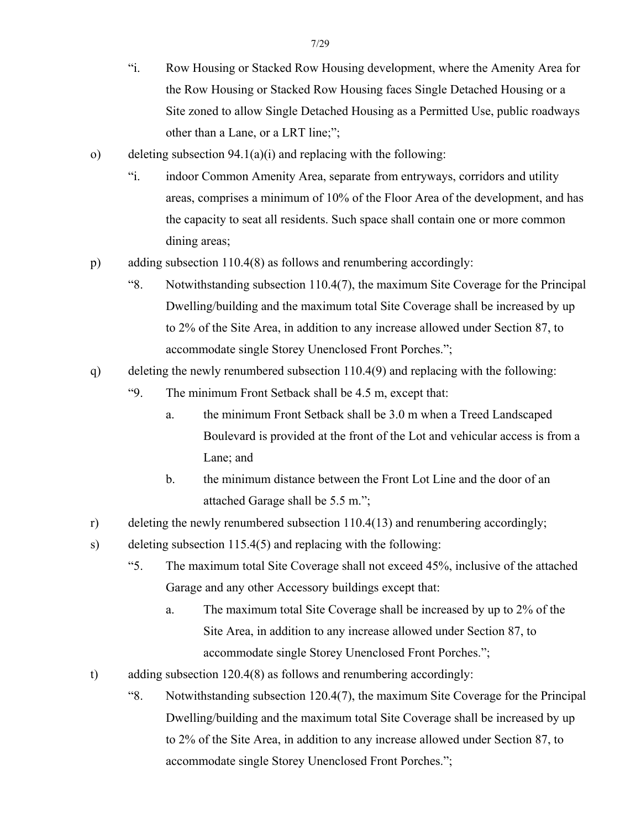- "i. Row Housing or Stacked Row Housing development, where the Amenity Area for the Row Housing or Stacked Row Housing faces Single Detached Housing or a Site zoned to allow Single Detached Housing as a Permitted Use, public roadways other than a Lane, or a LRT line;";
- o) deleting subsection 94.1(a)(i) and replacing with the following:
	- "i. indoor Common Amenity Area, separate from entryways, corridors and utility areas, comprises a minimum of 10% of the Floor Area of the development, and has the capacity to seat all residents. Such space shall contain one or more common dining areas;
- p) adding subsection 110.4(8) as follows and renumbering accordingly:
	- "8. Notwithstanding subsection 110.4(7), the maximum Site Coverage for the Principal Dwelling/building and the maximum total Site Coverage shall be increased by up to 2% of the Site Area, in addition to any increase allowed under Section 87, to accommodate single Storey Unenclosed Front Porches.";
- q) deleting the newly renumbered subsection 110.4(9) and replacing with the following:
	- "9. The minimum Front Setback shall be 4.5 m, except that:
		- a. the minimum Front Setback shall be 3.0 m when a Treed Landscaped Boulevard is provided at the front of the Lot and vehicular access is from a Lane; and
		- b. the minimum distance between the Front Lot Line and the door of an attached Garage shall be 5.5 m.";
- r) deleting the newly renumbered subsection 110.4(13) and renumbering accordingly;
- s) deleting subsection 115.4(5) and replacing with the following:
	- "5. The maximum total Site Coverage shall not exceed 45%, inclusive of the attached Garage and any other Accessory buildings except that:
		- a. The maximum total Site Coverage shall be increased by up to 2% of the Site Area, in addition to any increase allowed under Section 87, to accommodate single Storey Unenclosed Front Porches.";
- t) adding subsection 120.4(8) as follows and renumbering accordingly:
	- "8. Notwithstanding subsection 120.4(7), the maximum Site Coverage for the Principal Dwelling/building and the maximum total Site Coverage shall be increased by up to 2% of the Site Area, in addition to any increase allowed under Section 87, to accommodate single Storey Unenclosed Front Porches.";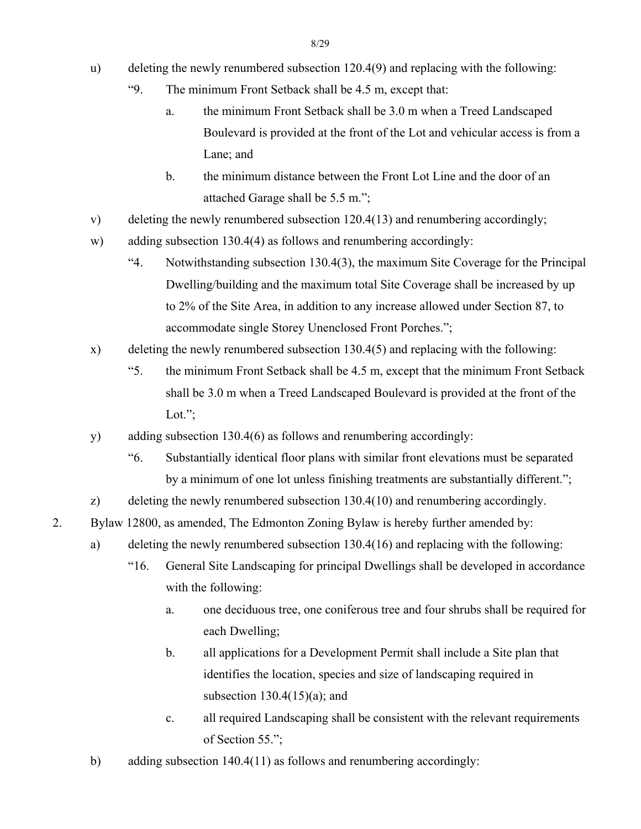- u) deleting the newly renumbered subsection 120.4(9) and replacing with the following:
	- "9. The minimum Front Setback shall be 4.5 m, except that:
		- a. the minimum Front Setback shall be 3.0 m when a Treed Landscaped Boulevard is provided at the front of the Lot and vehicular access is from a Lane; and
		- b. the minimum distance between the Front Lot Line and the door of an attached Garage shall be 5.5 m.";
- v) deleting the newly renumbered subsection 120.4(13) and renumbering accordingly;
- w) adding subsection 130.4(4) as follows and renumbering accordingly:
	- "4. Notwithstanding subsection 130.4(3), the maximum Site Coverage for the Principal Dwelling/building and the maximum total Site Coverage shall be increased by up to 2% of the Site Area, in addition to any increase allowed under Section 87, to accommodate single Storey Unenclosed Front Porches.";
- x) deleting the newly renumbered subsection 130.4(5) and replacing with the following:
	- "5. the minimum Front Setback shall be 4.5 m, except that the minimum Front Setback shall be 3.0 m when a Treed Landscaped Boulevard is provided at the front of the Lot.";
- y) adding subsection 130.4(6) as follows and renumbering accordingly:
	- "6. Substantially identical floor plans with similar front elevations must be separated by a minimum of one lot unless finishing treatments are substantially different.";

z) deleting the newly renumbered subsection 130.4(10) and renumbering accordingly.

- 2. Bylaw 12800, as amended, The Edmonton Zoning Bylaw is hereby further amended by:
	- a) deleting the newly renumbered subsection 130.4(16) and replacing with the following:
		- "16. General Site Landscaping for principal Dwellings shall be developed in accordance with the following:
			- a. one deciduous tree, one coniferous tree and four shrubs shall be required for each Dwelling;
			- b. all applications for a Development Permit shall include a Site plan that identifies the location, species and size of landscaping required in subsection  $130.4(15)(a)$ ; and
			- c. all required Landscaping shall be consistent with the relevant requirements of Section 55.";
	- b) adding subsection 140.4(11) as follows and renumbering accordingly: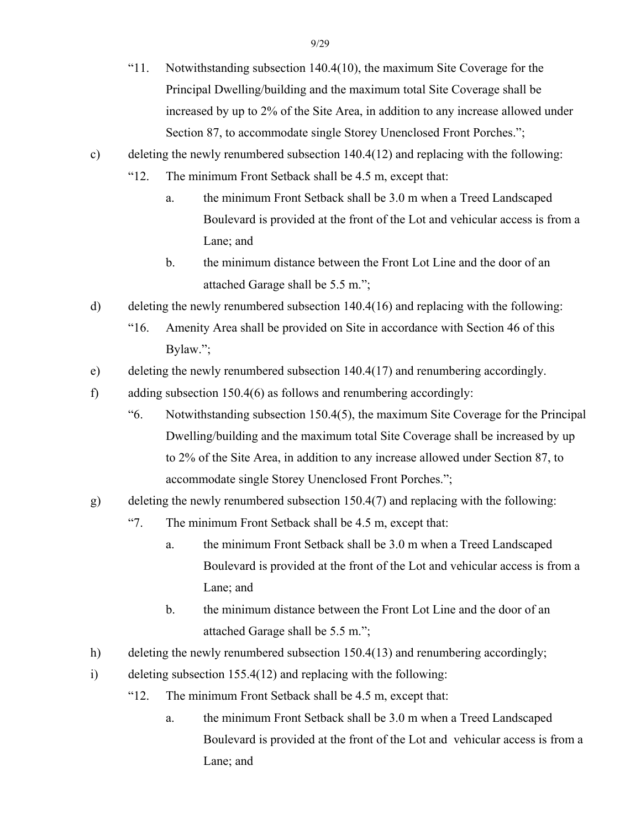- "11. Notwithstanding subsection 140.4(10), the maximum Site Coverage for the Principal Dwelling/building and the maximum total Site Coverage shall be increased by up to 2% of the Site Area, in addition to any increase allowed under Section 87, to accommodate single Storey Unenclosed Front Porches.";
- c) deleting the newly renumbered subsection 140.4(12) and replacing with the following:
	- "12. The minimum Front Setback shall be 4.5 m, except that:
		- a. the minimum Front Setback shall be 3.0 m when a Treed Landscaped Boulevard is provided at the front of the Lot and vehicular access is from a Lane; and
		- b. the minimum distance between the Front Lot Line and the door of an attached Garage shall be 5.5 m.";
- d) deleting the newly renumbered subsection 140.4(16) and replacing with the following:
	- "16. Amenity Area shall be provided on Site in accordance with Section 46 of this Bylaw.";
- e) deleting the newly renumbered subsection 140.4(17) and renumbering accordingly.
- f) adding subsection 150.4(6) as follows and renumbering accordingly:
	- "6. Notwithstanding subsection 150.4(5), the maximum Site Coverage for the Principal Dwelling/building and the maximum total Site Coverage shall be increased by up to 2% of the Site Area, in addition to any increase allowed under Section 87, to accommodate single Storey Unenclosed Front Porches.";
- g) deleting the newly renumbered subsection 150.4(7) and replacing with the following:
	- "7. The minimum Front Setback shall be 4.5 m, except that:
		- a. the minimum Front Setback shall be 3.0 m when a Treed Landscaped Boulevard is provided at the front of the Lot and vehicular access is from a Lane; and
		- b. the minimum distance between the Front Lot Line and the door of an attached Garage shall be 5.5 m.";
- h) deleting the newly renumbered subsection 150.4(13) and renumbering accordingly;
- i) deleting subsection 155.4(12) and replacing with the following:
	- "12. The minimum Front Setback shall be 4.5 m, except that:
		- a. the minimum Front Setback shall be 3.0 m when a Treed Landscaped Boulevard is provided at the front of the Lot and vehicular access is from a Lane; and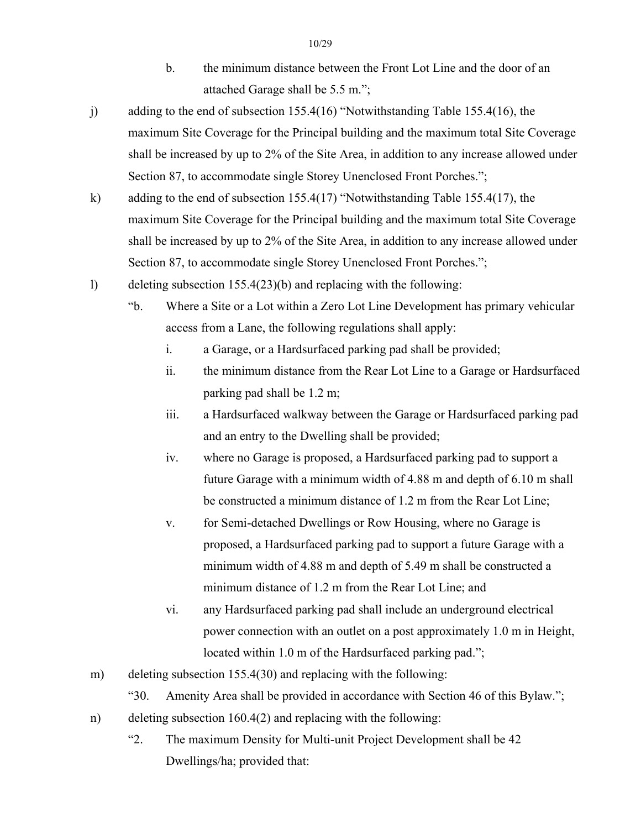- b. the minimum distance between the Front Lot Line and the door of an attached Garage shall be 5.5 m.";
- j) adding to the end of subsection 155.4(16) "Notwithstanding Table 155.4(16), the maximum Site Coverage for the Principal building and the maximum total Site Coverage shall be increased by up to 2% of the Site Area, in addition to any increase allowed under Section 87, to accommodate single Storey Unenclosed Front Porches.";
- k) adding to the end of subsection 155.4(17) "Notwithstanding Table 155.4(17), the maximum Site Coverage for the Principal building and the maximum total Site Coverage shall be increased by up to 2% of the Site Area, in addition to any increase allowed under Section 87, to accommodate single Storey Unenclosed Front Porches.";
- l) deleting subsection 155.4(23)(b) and replacing with the following:
	- "b. Where a Site or a Lot within a Zero Lot Line Development has primary vehicular access from a Lane, the following regulations shall apply:
		- i. a Garage, or a Hardsurfaced parking pad shall be provided;
		- ii. the minimum distance from the Rear Lot Line to a Garage or Hardsurfaced parking pad shall be 1.2 m;
		- iii. a Hardsurfaced walkway between the Garage or Hardsurfaced parking pad and an entry to the Dwelling shall be provided;
		- iv. where no Garage is proposed, a Hardsurfaced parking pad to support a future Garage with a minimum width of 4.88 m and depth of 6.10 m shall be constructed a minimum distance of 1.2 m from the Rear Lot Line;
		- v. for Semi-detached Dwellings or Row Housing, where no Garage is proposed, a Hardsurfaced parking pad to support a future Garage with a minimum width of 4.88 m and depth of 5.49 m shall be constructed a minimum distance of 1.2 m from the Rear Lot Line; and
		- vi. any Hardsurfaced parking pad shall include an underground electrical power connection with an outlet on a post approximately 1.0 m in Height, located within 1.0 m of the Hardsurfaced parking pad.";
- m) deleting subsection 155.4(30) and replacing with the following:
	- "30. Amenity Area shall be provided in accordance with Section 46 of this Bylaw.";
- n) deleting subsection 160.4(2) and replacing with the following:
	- "2. The maximum Density for Multi-unit Project Development shall be 42 Dwellings/ha; provided that: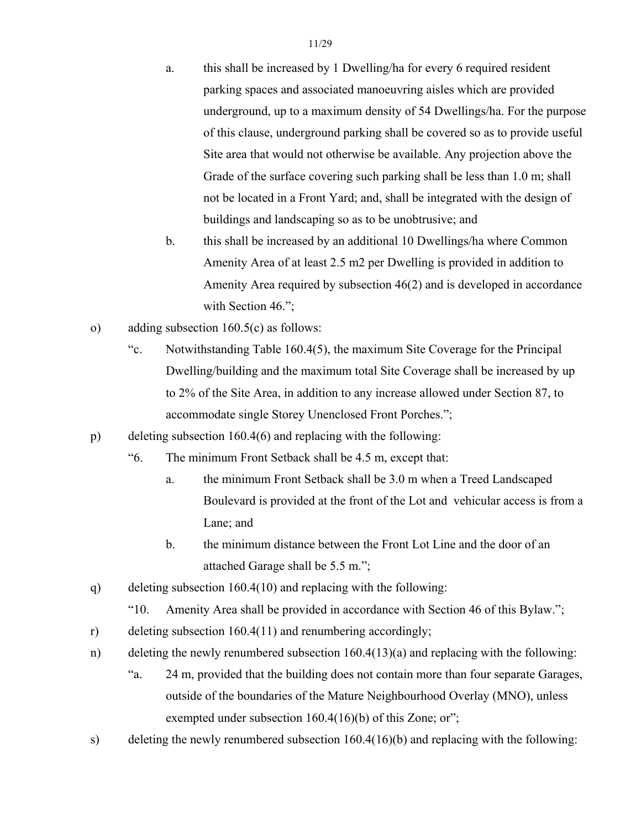- a. this shall be increased by 1 Dwelling/ha for every 6 required resident parking spaces and associated manoeuvring aisles which are provided underground, up to a maximum density of 54 Dwellings/ha. For the purpose of this clause, underground parking shall be covered so as to provide useful Site area that would not otherwise be available. Any projection above the Grade of the surface covering such parking shall be less than 1.0 m; shall not be located in a Front Yard; and, shall be integrated with the design of buildings and landscaping so as to be unobtrusive; and
- b. this shall be increased by an additional 10 Dwellings/ha where Common Amenity Area of at least 2.5 m2 per Dwelling is provided in addition to Amenity Area required by subsection 46(2) and is developed in accordance with Section 46.";
- o) adding subsection 160.5(c) as follows:
	- "c. Notwithstanding Table 160.4(5), the maximum Site Coverage for the Principal Dwelling/building and the maximum total Site Coverage shall be increased by up to 2% of the Site Area, in addition to any increase allowed under Section 87, to accommodate single Storey Unenclosed Front Porches.";
- p) deleting subsection 160.4(6) and replacing with the following:
	- "6. The minimum Front Setback shall be 4.5 m, except that:
		- a. the minimum Front Setback shall be 3.0 m when a Treed Landscaped Boulevard is provided at the front of the Lot and vehicular access is from a Lane; and
		- b. the minimum distance between the Front Lot Line and the door of an attached Garage shall be 5.5 m.";
- q) deleting subsection 160.4(10) and replacing with the following:
	- "10. Amenity Area shall be provided in accordance with Section 46 of this Bylaw.";
- r) deleting subsection 160.4(11) and renumbering accordingly;
- n) deleting the newly renumbered subsection 160.4(13)(a) and replacing with the following:
	- "a. 24 m, provided that the building does not contain more than four separate Garages, outside of the boundaries of the Mature Neighbourhood Overlay (MNO), unless exempted under subsection 160.4(16)(b) of this Zone; or";
- s) deleting the newly renumbered subsection 160.4(16)(b) and replacing with the following: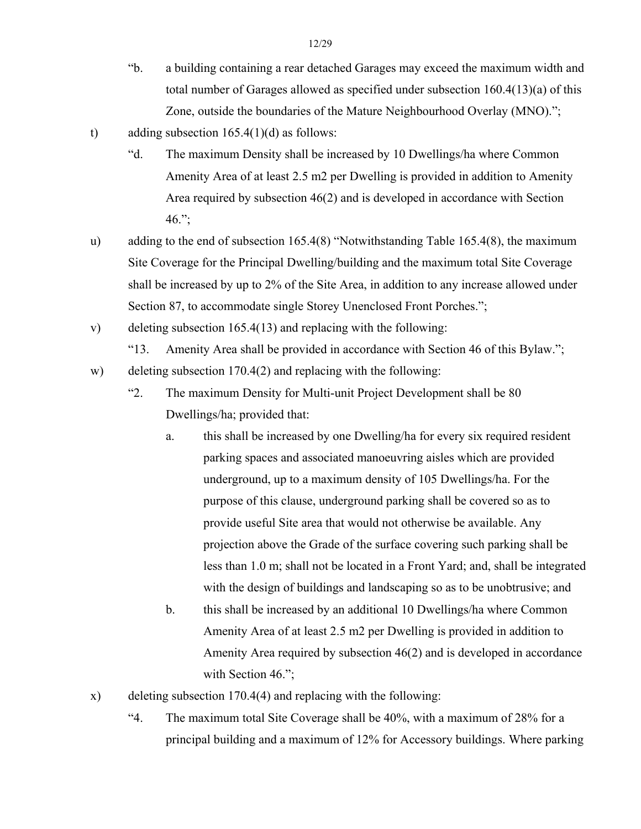- "b. a building containing a rear detached Garages may exceed the maximum width and total number of Garages allowed as specified under subsection 160.4(13)(a) of this Zone, outside the boundaries of the Mature Neighbourhood Overlay (MNO).";
- t) adding subsection  $165.4(1)(d)$  as follows:
	- "d. The maximum Density shall be increased by 10 Dwellings/ha where Common Amenity Area of at least 2.5 m2 per Dwelling is provided in addition to Amenity Area required by subsection 46(2) and is developed in accordance with Section  $46.$ ";
- u) adding to the end of subsection 165.4(8) "Notwithstanding Table 165.4(8), the maximum Site Coverage for the Principal Dwelling/building and the maximum total Site Coverage shall be increased by up to 2% of the Site Area, in addition to any increase allowed under Section 87, to accommodate single Storey Unenclosed Front Porches.";
- v) deleting subsection 165.4(13) and replacing with the following:

"13. Amenity Area shall be provided in accordance with Section 46 of this Bylaw.";

- w) deleting subsection 170.4(2) and replacing with the following:
	- "2. The maximum Density for Multi-unit Project Development shall be 80 Dwellings/ha; provided that:
		- a. this shall be increased by one Dwelling/ha for every six required resident parking spaces and associated manoeuvring aisles which are provided underground, up to a maximum density of 105 Dwellings/ha. For the purpose of this clause, underground parking shall be covered so as to provide useful Site area that would not otherwise be available. Any projection above the Grade of the surface covering such parking shall be less than 1.0 m; shall not be located in a Front Yard; and, shall be integrated with the design of buildings and landscaping so as to be unobtrusive; and
		- b. this shall be increased by an additional 10 Dwellings/ha where Common Amenity Area of at least 2.5 m2 per Dwelling is provided in addition to Amenity Area required by subsection 46(2) and is developed in accordance with Section 46.";
- x) deleting subsection 170.4(4) and replacing with the following:
	- "4. The maximum total Site Coverage shall be 40%, with a maximum of 28% for a principal building and a maximum of 12% for Accessory buildings. Where parking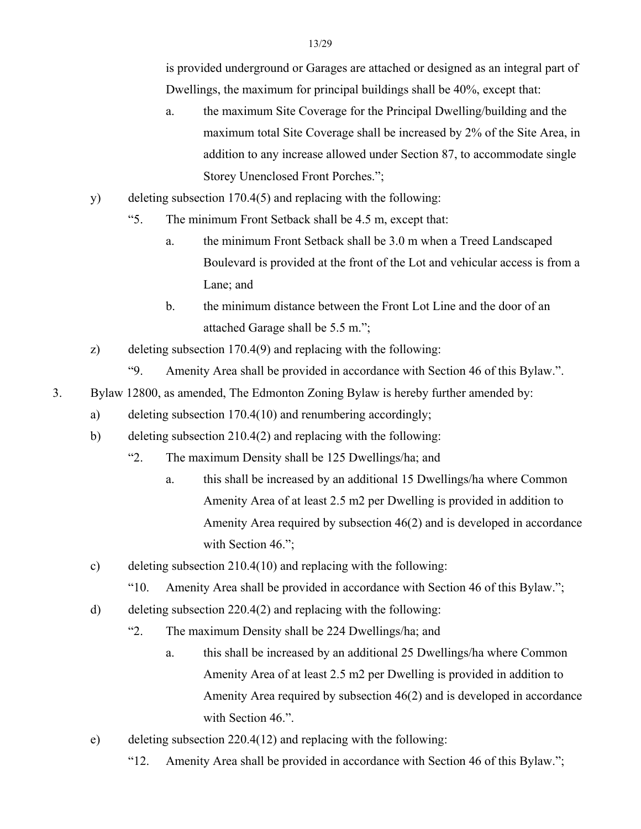is provided underground or Garages are attached or designed as an integral part of Dwellings, the maximum for principal buildings shall be 40%, except that:

- a. the maximum Site Coverage for the Principal Dwelling/building and the maximum total Site Coverage shall be increased by 2% of the Site Area, in addition to any increase allowed under Section 87, to accommodate single Storey Unenclosed Front Porches.";
- y) deleting subsection 170.4(5) and replacing with the following:
	- "5. The minimum Front Setback shall be 4.5 m, except that:
		- a. the minimum Front Setback shall be 3.0 m when a Treed Landscaped Boulevard is provided at the front of the Lot and vehicular access is from a Lane; and
		- b. the minimum distance between the Front Lot Line and the door of an attached Garage shall be 5.5 m.";
- z) deleting subsection 170.4(9) and replacing with the following:
	- "9. Amenity Area shall be provided in accordance with Section 46 of this Bylaw.".
- 3. Bylaw 12800, as amended, The Edmonton Zoning Bylaw is hereby further amended by:
	- a) deleting subsection 170.4(10) and renumbering accordingly;
	- b) deleting subsection 210.4(2) and replacing with the following:
		- "2. The maximum Density shall be 125 Dwellings/ha; and
			- a. this shall be increased by an additional 15 Dwellings/ha where Common Amenity Area of at least 2.5 m2 per Dwelling is provided in addition to Amenity Area required by subsection 46(2) and is developed in accordance with Section 46.";
	- c) deleting subsection 210.4(10) and replacing with the following:
		- "10. Amenity Area shall be provided in accordance with Section 46 of this Bylaw.";
	- d) deleting subsection 220.4(2) and replacing with the following:
		- "2. The maximum Density shall be 224 Dwellings/ha; and
			- a. this shall be increased by an additional 25 Dwellings/ha where Common Amenity Area of at least 2.5 m2 per Dwelling is provided in addition to Amenity Area required by subsection 46(2) and is developed in accordance with Section 46.".
	- e) deleting subsection 220.4(12) and replacing with the following:
		- "12. Amenity Area shall be provided in accordance with Section 46 of this Bylaw.";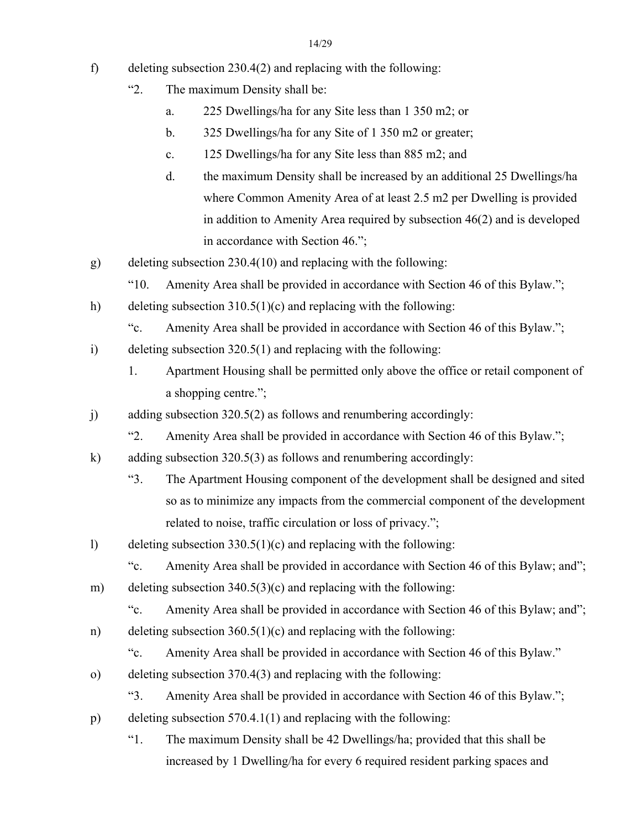- f) deleting subsection 230.4(2) and replacing with the following:
	- "2. The maximum Density shall be:
		- a. 225 Dwellings/ha for any Site less than 1 350 m2; or
		- b. 325 Dwellings/ha for any Site of 1 350 m2 or greater;
		- c. 125 Dwellings/ha for any Site less than 885 m2; and
		- d. the maximum Density shall be increased by an additional 25 Dwellings/ha where Common Amenity Area of at least 2.5 m2 per Dwelling is provided in addition to Amenity Area required by subsection 46(2) and is developed in accordance with Section 46.";
- g) deleting subsection 230.4(10) and replacing with the following:
	- "10. Amenity Area shall be provided in accordance with Section 46 of this Bylaw.";
- h) deleting subsection 310.5(1)(c) and replacing with the following:
	- "c. Amenity Area shall be provided in accordance with Section 46 of this Bylaw.";
- i) deleting subsection 320.5(1) and replacing with the following:
	- 1. Apartment Housing shall be permitted only above the office or retail component of a shopping centre.";
- j) adding subsection 320.5(2) as follows and renumbering accordingly:
	- "2. Amenity Area shall be provided in accordance with Section 46 of this Bylaw.";
- k) adding subsection 320.5(3) as follows and renumbering accordingly:
	- "3. The Apartment Housing component of the development shall be designed and sited so as to minimize any impacts from the commercial component of the development related to noise, traffic circulation or loss of privacy.";
- l) deleting subsection 330.5(1)(c) and replacing with the following:
	- "c. Amenity Area shall be provided in accordance with Section 46 of this Bylaw; and";
- m) deleting subsection 340.5(3)(c) and replacing with the following:
	- "c. Amenity Area shall be provided in accordance with Section 46 of this Bylaw; and";
- n) deleting subsection 360.5(1)(c) and replacing with the following:
	- "c. Amenity Area shall be provided in accordance with Section 46 of this Bylaw."
- o) deleting subsection 370.4(3) and replacing with the following:
	- "3. Amenity Area shall be provided in accordance with Section 46 of this Bylaw.";
- p) deleting subsection 570.4.1(1) and replacing with the following:
	- "1. The maximum Density shall be 42 Dwellings/ha; provided that this shall be increased by 1 Dwelling/ha for every 6 required resident parking spaces and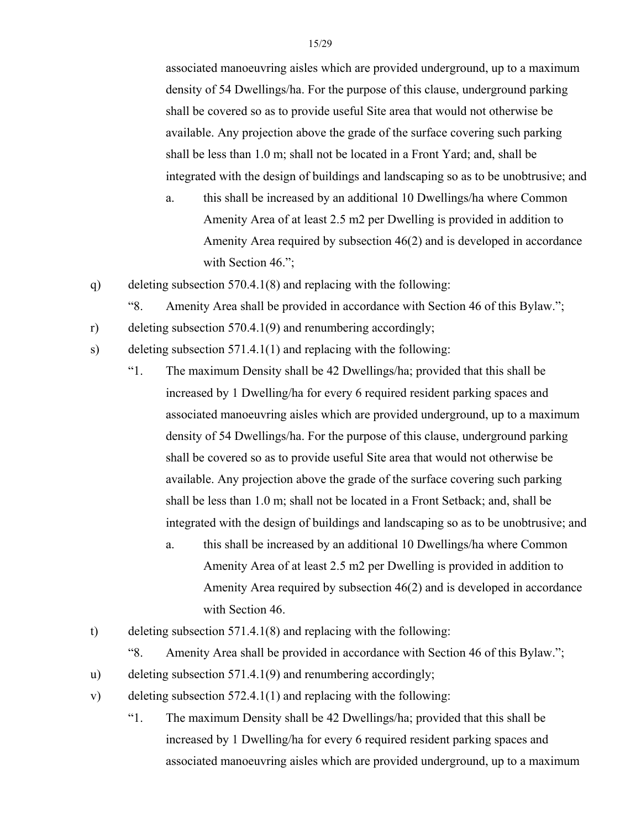associated manoeuvring aisles which are provided underground, up to a maximum density of 54 Dwellings/ha. For the purpose of this clause, underground parking shall be covered so as to provide useful Site area that would not otherwise be available. Any projection above the grade of the surface covering such parking shall be less than 1.0 m; shall not be located in a Front Yard; and, shall be integrated with the design of buildings and landscaping so as to be unobtrusive; and

- a. this shall be increased by an additional 10 Dwellings/ha where Common Amenity Area of at least 2.5 m2 per Dwelling is provided in addition to Amenity Area required by subsection 46(2) and is developed in accordance with Section 46.";
- q) deleting subsection 570.4.1(8) and replacing with the following:
	- "8. Amenity Area shall be provided in accordance with Section 46 of this Bylaw.";
- r) deleting subsection 570.4.1(9) and renumbering accordingly;
- s) deleting subsection 571.4.1(1) and replacing with the following:
	- "1. The maximum Density shall be 42 Dwellings/ha; provided that this shall be increased by 1 Dwelling/ha for every 6 required resident parking spaces and associated manoeuvring aisles which are provided underground, up to a maximum density of 54 Dwellings/ha. For the purpose of this clause, underground parking shall be covered so as to provide useful Site area that would not otherwise be available. Any projection above the grade of the surface covering such parking shall be less than 1.0 m; shall not be located in a Front Setback; and, shall be integrated with the design of buildings and landscaping so as to be unobtrusive; and
		- a. this shall be increased by an additional 10 Dwellings/ha where Common Amenity Area of at least 2.5 m2 per Dwelling is provided in addition to Amenity Area required by subsection 46(2) and is developed in accordance with Section 46.
- t) deleting subsection 571.4.1(8) and replacing with the following:
	- "8. Amenity Area shall be provided in accordance with Section 46 of this Bylaw.";
- u) deleting subsection 571.4.1(9) and renumbering accordingly;
- v) deleting subsection 572.4.1(1) and replacing with the following:
	- "1. The maximum Density shall be 42 Dwellings/ha; provided that this shall be increased by 1 Dwelling/ha for every 6 required resident parking spaces and associated manoeuvring aisles which are provided underground, up to a maximum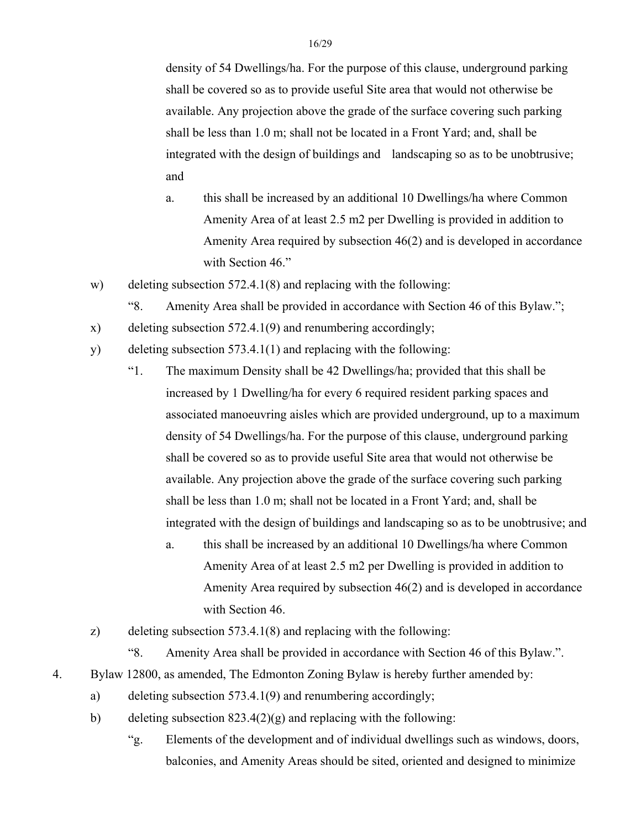density of 54 Dwellings/ha. For the purpose of this clause, underground parking shall be covered so as to provide useful Site area that would not otherwise be available. Any projection above the grade of the surface covering such parking shall be less than 1.0 m; shall not be located in a Front Yard; and, shall be integrated with the design of buildings and landscaping so as to be unobtrusive; and

- a. this shall be increased by an additional 10 Dwellings/ha where Common Amenity Area of at least 2.5 m2 per Dwelling is provided in addition to Amenity Area required by subsection 46(2) and is developed in accordance with Section 46."
- w) deleting subsection 572.4.1(8) and replacing with the following:
	- "8. Amenity Area shall be provided in accordance with Section 46 of this Bylaw.";
- x) deleting subsection 572.4.1(9) and renumbering accordingly;
- y) deleting subsection 573.4.1(1) and replacing with the following:
	- "1. The maximum Density shall be 42 Dwellings/ha; provided that this shall be increased by 1 Dwelling/ha for every 6 required resident parking spaces and associated manoeuvring aisles which are provided underground, up to a maximum density of 54 Dwellings/ha. For the purpose of this clause, underground parking shall be covered so as to provide useful Site area that would not otherwise be available. Any projection above the grade of the surface covering such parking shall be less than 1.0 m; shall not be located in a Front Yard; and, shall be integrated with the design of buildings and landscaping so as to be unobtrusive; and
		- a. this shall be increased by an additional 10 Dwellings/ha where Common Amenity Area of at least 2.5 m2 per Dwelling is provided in addition to Amenity Area required by subsection 46(2) and is developed in accordance with Section 46.
- z) deleting subsection 573.4.1(8) and replacing with the following:
	- "8. Amenity Area shall be provided in accordance with Section 46 of this Bylaw.".
- 4. Bylaw 12800, as amended, The Edmonton Zoning Bylaw is hereby further amended by:
	- a) deleting subsection 573.4.1(9) and renumbering accordingly;
	- b) deleting subsection  $823.4(2)(g)$  and replacing with the following:
		- "g. Elements of the development and of individual dwellings such as windows, doors, balconies, and Amenity Areas should be sited, oriented and designed to minimize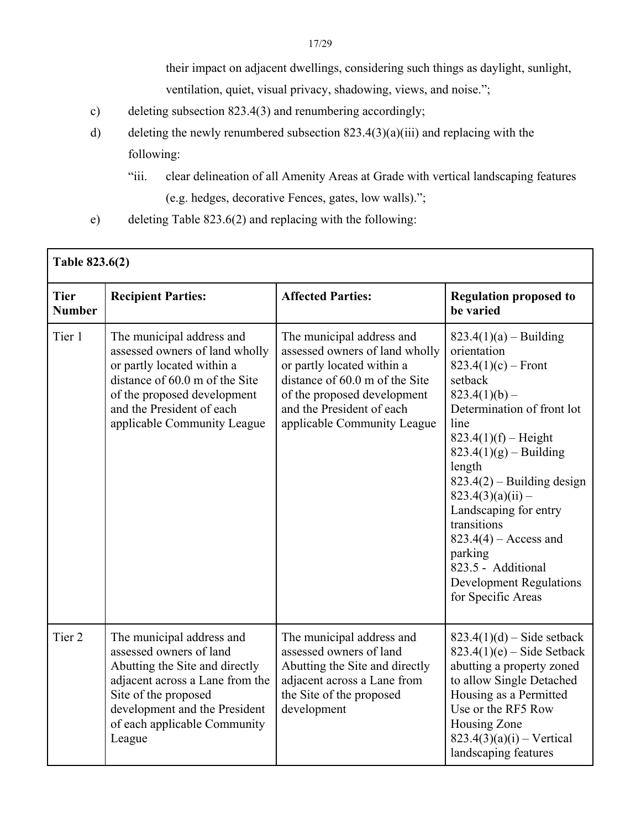their impact on adjacent dwellings, considering such things as daylight, sunlight, ventilation, quiet, visual privacy, shadowing, views, and noise.";

- c) deleting subsection 823.4(3) and renumbering accordingly;
- d) deleting the newly renumbered subsection  $823.4(3)(a)(iii)$  and replacing with the following:
	- "iii. clear delineation of all Amenity Areas at Grade with vertical landscaping features (e.g. hedges, decorative Fences, gates, low walls).";
- e) deleting Table 823.6(2) and replacing with the following:

| Table 823.6(2)               |                                                                                                                                                                                                                              |                                                                                                                                                                                                                        |                                                                                                                                                                                                                                                                                                                                                                                                                         |  |  |
|------------------------------|------------------------------------------------------------------------------------------------------------------------------------------------------------------------------------------------------------------------------|------------------------------------------------------------------------------------------------------------------------------------------------------------------------------------------------------------------------|-------------------------------------------------------------------------------------------------------------------------------------------------------------------------------------------------------------------------------------------------------------------------------------------------------------------------------------------------------------------------------------------------------------------------|--|--|
| <b>Tier</b><br><b>Number</b> | <b>Recipient Parties:</b>                                                                                                                                                                                                    | <b>Affected Parties:</b>                                                                                                                                                                                               | <b>Regulation proposed to</b><br>be varied                                                                                                                                                                                                                                                                                                                                                                              |  |  |
| Tier 1                       | The municipal address and<br>assessed owners of land wholly<br>or partly located within a<br>distance of 60.0 m of the Site<br>of the proposed development<br>and the President of each<br>applicable Community League       | The municipal address and<br>assessed owners of land wholly<br>or partly located within a<br>distance of 60.0 m of the Site<br>of the proposed development<br>and the President of each<br>applicable Community League | $823.4(1)(a) - Building$<br>orientation<br>$823.4(1)(c)$ – Front<br>setback<br>$823.4(1)(b)$ –<br>Determination of front lot<br>line<br>$823.4(1)(f) - Height$<br>$823.4(1)(g) - Building$<br>length<br>$823.4(2)$ – Building design<br>$823.4(3)(a)(ii)$ –<br>Landscaping for entry<br>transitions<br>$823.4(4)$ – Access and<br>parking<br>823.5 - Additional<br><b>Development Regulations</b><br>for Specific Areas |  |  |
| Tier <sub>2</sub>            | The municipal address and<br>assessed owners of land<br>Abutting the Site and directly<br>adjacent across a Lane from the<br>Site of the proposed<br>development and the President<br>of each applicable Community<br>League | The municipal address and<br>assessed owners of land<br>Abutting the Site and directly<br>adjacent across a Lane from<br>the Site of the proposed<br>development                                                       | $823.4(1)(d) - Side setback$<br>$823.4(1)(e)$ – Side Setback<br>abutting a property zoned<br>to allow Single Detached<br>Housing as a Permitted<br>Use or the RF5 Row<br>Housing Zone<br>$823.4(3)(a)(i) - Vertical$<br>landscaping features                                                                                                                                                                            |  |  |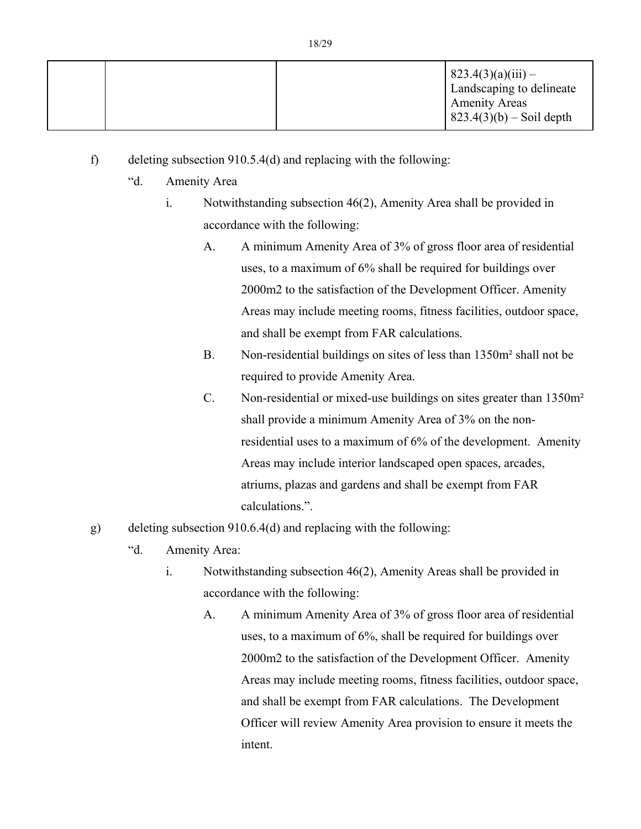|  | $823.4(3)(a)(iii) -$<br>Landscaping to delineate<br><b>Amenity Areas</b><br>$ 823.4(3)(b) - Soil depth$ |
|--|---------------------------------------------------------------------------------------------------------|

f) deleting subsection 910.5.4(d) and replacing with the following:

- "d. Amenity Area
	- i. Notwithstanding subsection 46(2), Amenity Area shall be provided in accordance with the following:
		- A. A minimum Amenity Area of 3% of gross floor area of residential uses, to a maximum of 6% shall be required for buildings over 2000m2 to the satisfaction of the Development Officer. Amenity Areas may include meeting rooms, fitness facilities, outdoor space, and shall be exempt from FAR calculations.
		- B. Non-residential buildings on sites of less than 1350m² shall not be required to provide Amenity Area.
		- C. Non-residential or mixed-use buildings on sites greater than 1350m² shall provide a minimum Amenity Area of 3% on the nonresidential uses to a maximum of 6% of the development. Amenity Areas may include interior landscaped open spaces, arcades, atriums, plazas and gardens and shall be exempt from FAR calculations.".
- g) deleting subsection 910.6.4(d) and replacing with the following:
	- "d. Amenity Area:
		- i. Notwithstanding subsection 46(2), Amenity Areas shall be provided in accordance with the following:
			- A. A minimum Amenity Area of 3% of gross floor area of residential uses, to a maximum of 6%, shall be required for buildings over 2000m2 to the satisfaction of the Development Officer. Amenity Areas may include meeting rooms, fitness facilities, outdoor space, and shall be exempt from FAR calculations. The Development Officer will review Amenity Area provision to ensure it meets the intent.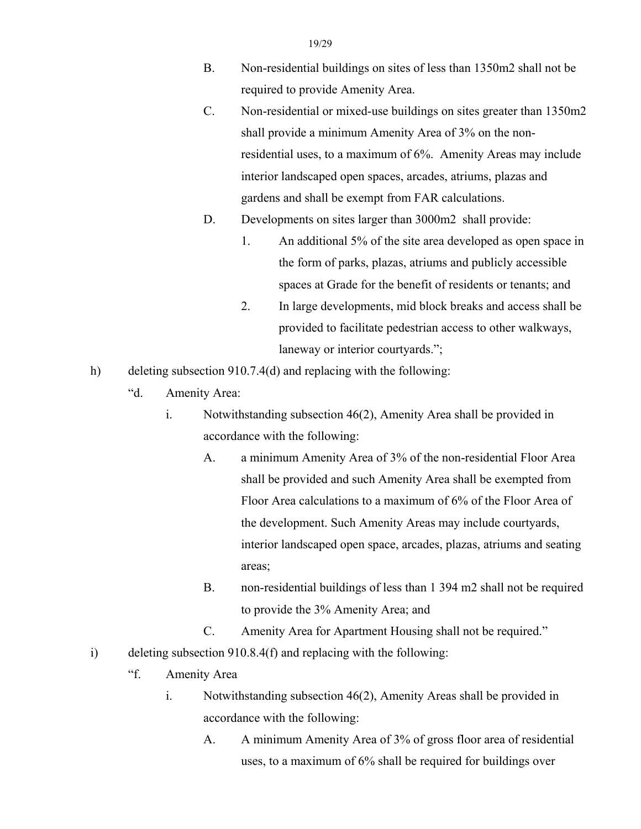- 19/29
- B. Non-residential buildings on sites of less than 1350m2 shall not be required to provide Amenity Area.
- C. Non-residential or mixed-use buildings on sites greater than 1350m2 shall provide a minimum Amenity Area of 3% on the nonresidential uses, to a maximum of 6%. Amenity Areas may include interior landscaped open spaces, arcades, atriums, plazas and gardens and shall be exempt from FAR calculations.
- D. Developments on sites larger than 3000m2 shall provide:
	- 1. An additional 5% of the site area developed as open space in the form of parks, plazas, atriums and publicly accessible spaces at Grade for the benefit of residents or tenants; and
	- 2. In large developments, mid block breaks and access shall be provided to facilitate pedestrian access to other walkways, laneway or interior courtyards.";
- h) deleting subsection 910.7.4(d) and replacing with the following:
	- "d. Amenity Area:
		- i. Notwithstanding subsection 46(2), Amenity Area shall be provided in accordance with the following:
			- A. a minimum Amenity Area of 3% of the non-residential Floor Area shall be provided and such Amenity Area shall be exempted from Floor Area calculations to a maximum of 6% of the Floor Area of the development. Such Amenity Areas may include courtyards, interior landscaped open space, arcades, plazas, atriums and seating areas;
			- B. non-residential buildings of less than 1 394 m2 shall not be required to provide the 3% Amenity Area; and
			- C. Amenity Area for Apartment Housing shall not be required."
- i) deleting subsection 910.8.4(f) and replacing with the following:
	- "f. Amenity Area
		- i. Notwithstanding subsection 46(2), Amenity Areas shall be provided in accordance with the following:
			- A. A minimum Amenity Area of 3% of gross floor area of residential uses, to a maximum of 6% shall be required for buildings over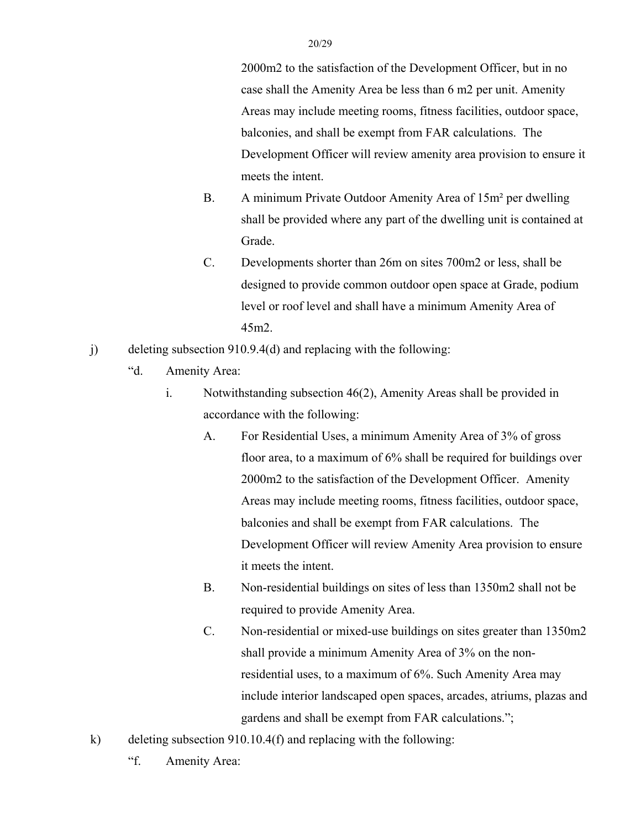2000m2 to the satisfaction of the Development Officer, but in no case shall the Amenity Area be less than 6 m2 per unit. Amenity Areas may include meeting rooms, fitness facilities, outdoor space, balconies, and shall be exempt from FAR calculations. The Development Officer will review amenity area provision to ensure it meets the intent.

- B. A minimum Private Outdoor Amenity Area of 15m² per dwelling shall be provided where any part of the dwelling unit is contained at Grade.
- C. Developments shorter than 26m on sites 700m2 or less, shall be designed to provide common outdoor open space at Grade, podium level or roof level and shall have a minimum Amenity Area of 45m2.
- j) deleting subsection 910.9.4(d) and replacing with the following:
	- "d. Amenity Area:
		- i. Notwithstanding subsection 46(2), Amenity Areas shall be provided in accordance with the following:
			- A. For Residential Uses, a minimum Amenity Area of 3% of gross floor area, to a maximum of 6% shall be required for buildings over 2000m2 to the satisfaction of the Development Officer. Amenity Areas may include meeting rooms, fitness facilities, outdoor space, balconies and shall be exempt from FAR calculations. The Development Officer will review Amenity Area provision to ensure it meets the intent.
			- B. Non-residential buildings on sites of less than 1350m2 shall not be required to provide Amenity Area.
			- C. Non-residential or mixed-use buildings on sites greater than 1350m2 shall provide a minimum Amenity Area of 3% on the nonresidential uses, to a maximum of 6%. Such Amenity Area may include interior landscaped open spaces, arcades, atriums, plazas and gardens and shall be exempt from FAR calculations.";
- k) deleting subsection 910.10.4(f) and replacing with the following:
	- "f. Amenity Area: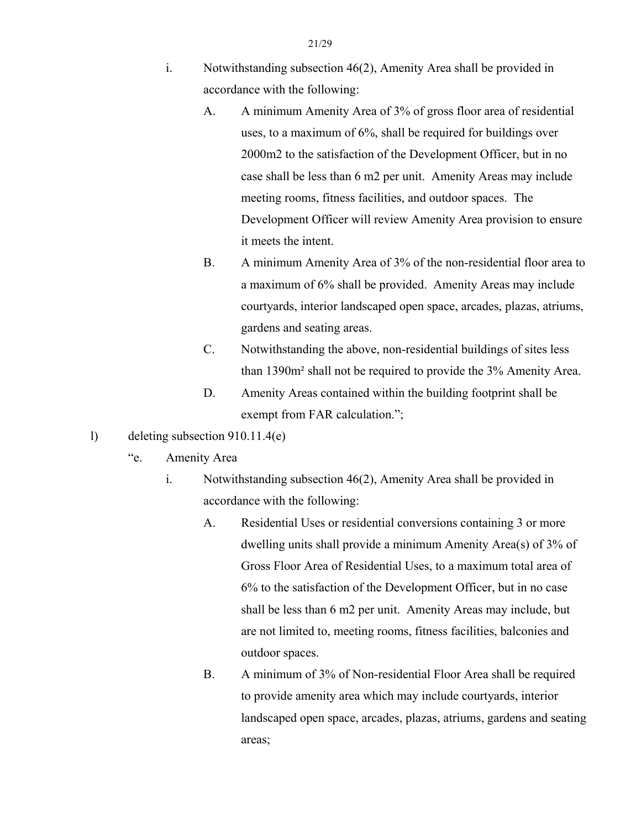- i. Notwithstanding subsection 46(2), Amenity Area shall be provided in accordance with the following:
	- A. A minimum Amenity Area of 3% of gross floor area of residential uses, to a maximum of 6%, shall be required for buildings over 2000m2 to the satisfaction of the Development Officer, but in no case shall be less than 6 m2 per unit. Amenity Areas may include meeting rooms, fitness facilities, and outdoor spaces. The Development Officer will review Amenity Area provision to ensure it meets the intent.
	- B. A minimum Amenity Area of 3% of the non-residential floor area to a maximum of 6% shall be provided. Amenity Areas may include courtyards, interior landscaped open space, arcades, plazas, atriums, gardens and seating areas.
	- C. Notwithstanding the above, non-residential buildings of sites less than 1390m² shall not be required to provide the 3% Amenity Area.
	- D. Amenity Areas contained within the building footprint shall be exempt from FAR calculation.";
- l) deleting subsection 910.11.4(e)
	- "e. Amenity Area
		- i. Notwithstanding subsection 46(2), Amenity Area shall be provided in accordance with the following:
			- A. Residential Uses or residential conversions containing 3 or more dwelling units shall provide a minimum Amenity Area(s) of 3% of Gross Floor Area of Residential Uses, to a maximum total area of 6% to the satisfaction of the Development Officer, but in no case shall be less than 6 m2 per unit. Amenity Areas may include, but are not limited to, meeting rooms, fitness facilities, balconies and outdoor spaces.
			- B. A minimum of 3% of Non-residential Floor Area shall be required to provide amenity area which may include courtyards, interior landscaped open space, arcades, plazas, atriums, gardens and seating areas;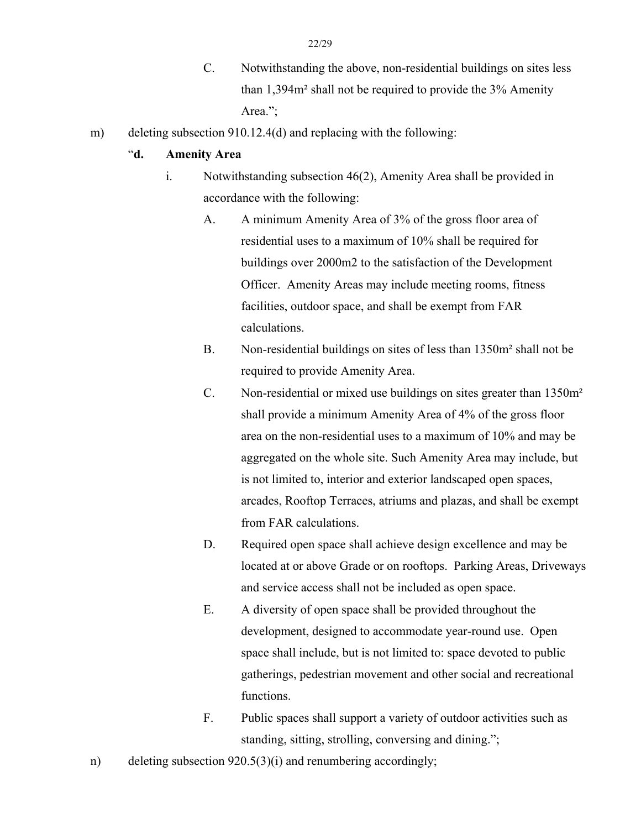- C. Notwithstanding the above, non-residential buildings on sites less than 1,394m² shall not be required to provide the 3% Amenity Area.":
- m) deleting subsection 910.12.4(d) and replacing with the following:

## "**d. Amenity Area**

- i. Notwithstanding subsection 46(2), Amenity Area shall be provided in accordance with the following:
	- A. A minimum Amenity Area of 3% of the gross floor area of residential uses to a maximum of 10% shall be required for buildings over 2000m2 to the satisfaction of the Development Officer. Amenity Areas may include meeting rooms, fitness facilities, outdoor space, and shall be exempt from FAR calculations.
	- B. Non-residential buildings on sites of less than 1350m² shall not be required to provide Amenity Area.
	- C. Non-residential or mixed use buildings on sites greater than 1350m² shall provide a minimum Amenity Area of 4% of the gross floor area on the non-residential uses to a maximum of 10% and may be aggregated on the whole site. Such Amenity Area may include, but is not limited to, interior and exterior landscaped open spaces, arcades, Rooftop Terraces, atriums and plazas, and shall be exempt from FAR calculations.
	- D. Required open space shall achieve design excellence and may be located at or above Grade or on rooftops. Parking Areas, Driveways and service access shall not be included as open space.
	- E. A diversity of open space shall be provided throughout the development, designed to accommodate year-round use. Open space shall include, but is not limited to: space devoted to public gatherings, pedestrian movement and other social and recreational functions.
	- F. Public spaces shall support a variety of outdoor activities such as standing, sitting, strolling, conversing and dining.";
- n) deleting subsection 920.5(3)(i) and renumbering accordingly;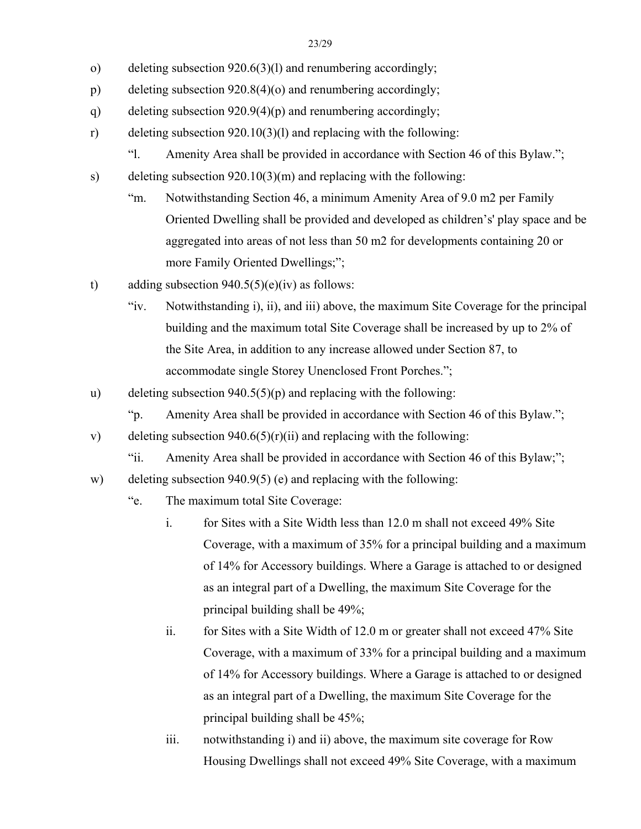- o) deleting subsection 920.6(3)(l) and renumbering accordingly;
- p) deleting subsection 920.8(4)(o) and renumbering accordingly;
- q) deleting subsection 920.9(4)(p) and renumbering accordingly;
- r) deleting subsection 920.10(3)(l) and replacing with the following:
	- "l. Amenity Area shall be provided in accordance with Section 46 of this Bylaw.";
- s) deleting subsection 920.10(3)(m) and replacing with the following:
	- "m. Notwithstanding Section 46, a minimum Amenity Area of 9.0 m2 per Family Oriented Dwelling shall be provided and developed as children's' play space and be aggregated into areas of not less than 50 m2 for developments containing 20 or more Family Oriented Dwellings;";
- t) adding subsection  $940.5(5)(e)(iv)$  as follows:
	- "iv. Notwithstanding i), ii), and iii) above, the maximum Site Coverage for the principal building and the maximum total Site Coverage shall be increased by up to 2% of the Site Area, in addition to any increase allowed under Section 87, to accommodate single Storey Unenclosed Front Porches.";
- u) deleting subsection  $940.5(5)(p)$  and replacing with the following:
	- "p. Amenity Area shall be provided in accordance with Section 46 of this Bylaw.";
- v) deleting subsection  $940.6(5)(r)(ii)$  and replacing with the following:
	- "ii. Amenity Area shall be provided in accordance with Section 46 of this Bylaw;";
- w) deleting subsection 940.9(5) (e) and replacing with the following:
	- "e. The maximum total Site Coverage:
		- i. for Sites with a Site Width less than 12.0 m shall not exceed 49% Site Coverage, with a maximum of 35% for a principal building and a maximum of 14% for Accessory buildings. Where a Garage is attached to or designed as an integral part of a Dwelling, the maximum Site Coverage for the principal building shall be 49%;
		- ii. for Sites with a Site Width of 12.0 m or greater shall not exceed 47% Site Coverage, with a maximum of 33% for a principal building and a maximum of 14% for Accessory buildings. Where a Garage is attached to or designed as an integral part of a Dwelling, the maximum Site Coverage for the principal building shall be 45%;
		- iii. notwithstanding i) and ii) above, the maximum site coverage for Row Housing Dwellings shall not exceed 49% Site Coverage, with a maximum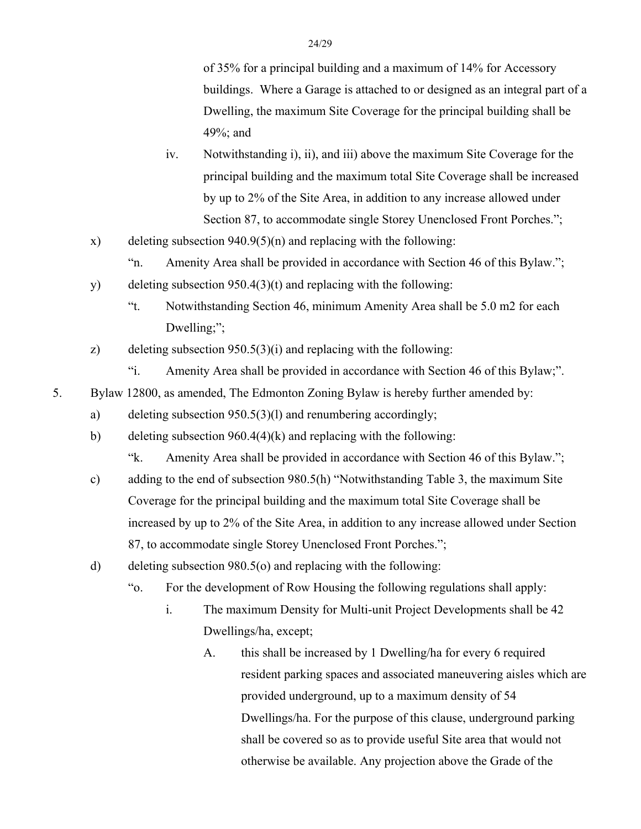of 35% for a principal building and a maximum of 14% for Accessory buildings. Where a Garage is attached to or designed as an integral part of a Dwelling, the maximum Site Coverage for the principal building shall be 49%; and

- iv. Notwithstanding i), ii), and iii) above the maximum Site Coverage for the principal building and the maximum total Site Coverage shall be increased by up to 2% of the Site Area, in addition to any increase allowed under Section 87, to accommodate single Storey Unenclosed Front Porches.";
- x) deleting subsection  $940.9(5)(n)$  and replacing with the following:

"n. Amenity Area shall be provided in accordance with Section 46 of this Bylaw.";

- y) deleting subsection 950.4(3)(t) and replacing with the following:
	- "t. Notwithstanding Section 46, minimum Amenity Area shall be 5.0 m2 for each Dwelling;";
- z) deleting subsection 950.5(3)(i) and replacing with the following:
	- "i. Amenity Area shall be provided in accordance with Section 46 of this Bylaw;".
- 5. Bylaw 12800, as amended, The Edmonton Zoning Bylaw is hereby further amended by:
	- a) deleting subsection 950.5(3)(l) and renumbering accordingly;
	- b) deleting subsection 960.4(4)(k) and replacing with the following:

"k. Amenity Area shall be provided in accordance with Section 46 of this Bylaw.";

- c) adding to the end of subsection 980.5(h) "Notwithstanding Table 3, the maximum Site Coverage for the principal building and the maximum total Site Coverage shall be increased by up to 2% of the Site Area, in addition to any increase allowed under Section 87, to accommodate single Storey Unenclosed Front Porches.";
- d) deleting subsection 980.5(o) and replacing with the following:
	- "o. For the development of Row Housing the following regulations shall apply:
		- i. The maximum Density for Multi-unit Project Developments shall be 42 Dwellings/ha, except;
			- A. this shall be increased by 1 Dwelling/ha for every 6 required resident parking spaces and associated maneuvering aisles which are provided underground, up to a maximum density of 54 Dwellings/ha. For the purpose of this clause, underground parking shall be covered so as to provide useful Site area that would not otherwise be available. Any projection above the Grade of the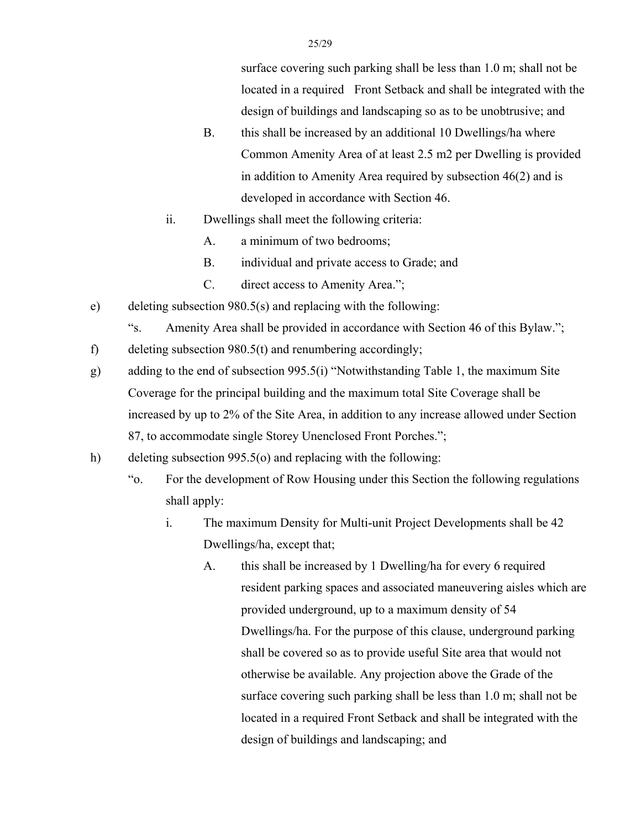surface covering such parking shall be less than 1.0 m; shall not be located in a required Front Setback and shall be integrated with the design of buildings and landscaping so as to be unobtrusive; and

- B. this shall be increased by an additional 10 Dwellings/ha where Common Amenity Area of at least 2.5 m2 per Dwelling is provided in addition to Amenity Area required by subsection 46(2) and is developed in accordance with Section 46.
- ii. Dwellings shall meet the following criteria:
	- A. a minimum of two bedrooms;
	- B. individual and private access to Grade; and
	- C. direct access to Amenity Area.";
- e) deleting subsection 980.5(s) and replacing with the following:
	- "s. Amenity Area shall be provided in accordance with Section 46 of this Bylaw.";

f) deleting subsection 980.5(t) and renumbering accordingly;

- g) adding to the end of subsection 995.5(i) "Notwithstanding Table 1, the maximum Site Coverage for the principal building and the maximum total Site Coverage shall be increased by up to 2% of the Site Area, in addition to any increase allowed under Section 87, to accommodate single Storey Unenclosed Front Porches.";
- h) deleting subsection 995.5(o) and replacing with the following:
	- "o. For the development of Row Housing under this Section the following regulations shall apply:
		- i. The maximum Density for Multi-unit Project Developments shall be 42 Dwellings/ha, except that;
			- A. this shall be increased by 1 Dwelling/ha for every 6 required resident parking spaces and associated maneuvering aisles which are provided underground, up to a maximum density of 54 Dwellings/ha. For the purpose of this clause, underground parking shall be covered so as to provide useful Site area that would not otherwise be available. Any projection above the Grade of the surface covering such parking shall be less than 1.0 m; shall not be located in a required Front Setback and shall be integrated with the design of buildings and landscaping; and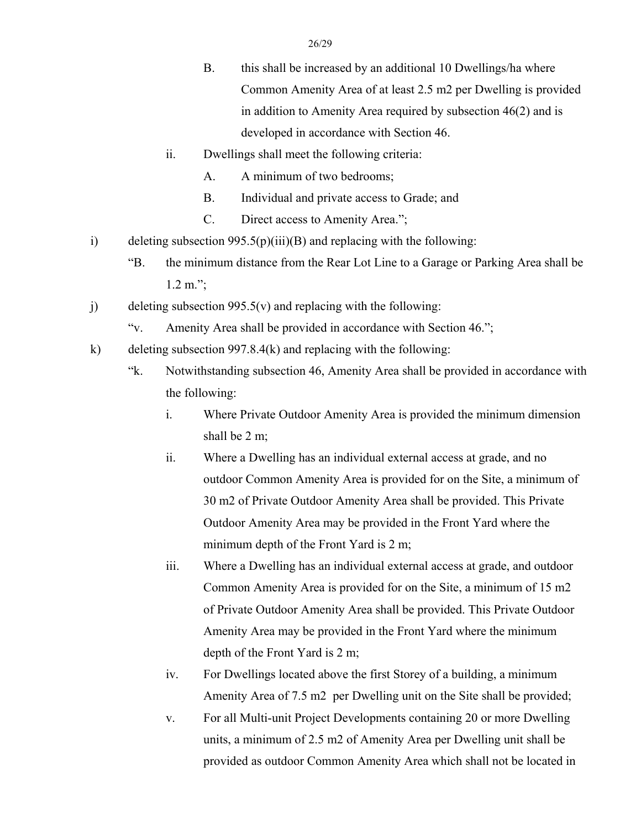- B. this shall be increased by an additional 10 Dwellings/ha where Common Amenity Area of at least 2.5 m2 per Dwelling is provided in addition to Amenity Area required by subsection 46(2) and is developed in accordance with Section 46.
- ii. Dwellings shall meet the following criteria:
	- A. A minimum of two bedrooms;
	- B. Individual and private access to Grade; and
	- C. Direct access to Amenity Area.";
- i) deleting subsection  $995.5(p)(iii)(B)$  and replacing with the following:
	- "B. the minimum distance from the Rear Lot Line to a Garage or Parking Area shall be 1.2 m.";
- j) deleting subsection  $995.5(v)$  and replacing with the following:
	- "v. Amenity Area shall be provided in accordance with Section 46.";
- k) deleting subsection 997.8.4(k) and replacing with the following:
	- "k. Notwithstanding subsection 46, Amenity Area shall be provided in accordance with the following:
		- i. Where Private Outdoor Amenity Area is provided the minimum dimension shall be 2 m;
		- ii. Where a Dwelling has an individual external access at grade, and no outdoor Common Amenity Area is provided for on the Site, a minimum of 30 m2 of Private Outdoor Amenity Area shall be provided. This Private Outdoor Amenity Area may be provided in the Front Yard where the minimum depth of the Front Yard is 2 m;
		- iii. Where a Dwelling has an individual external access at grade, and outdoor Common Amenity Area is provided for on the Site, a minimum of 15 m2 of Private Outdoor Amenity Area shall be provided. This Private Outdoor Amenity Area may be provided in the Front Yard where the minimum depth of the Front Yard is 2 m;
		- iv. For Dwellings located above the first Storey of a building, a minimum Amenity Area of 7.5 m2 per Dwelling unit on the Site shall be provided;
		- v. For all Multi-unit Project Developments containing 20 or more Dwelling units, a minimum of 2.5 m2 of Amenity Area per Dwelling unit shall be provided as outdoor Common Amenity Area which shall not be located in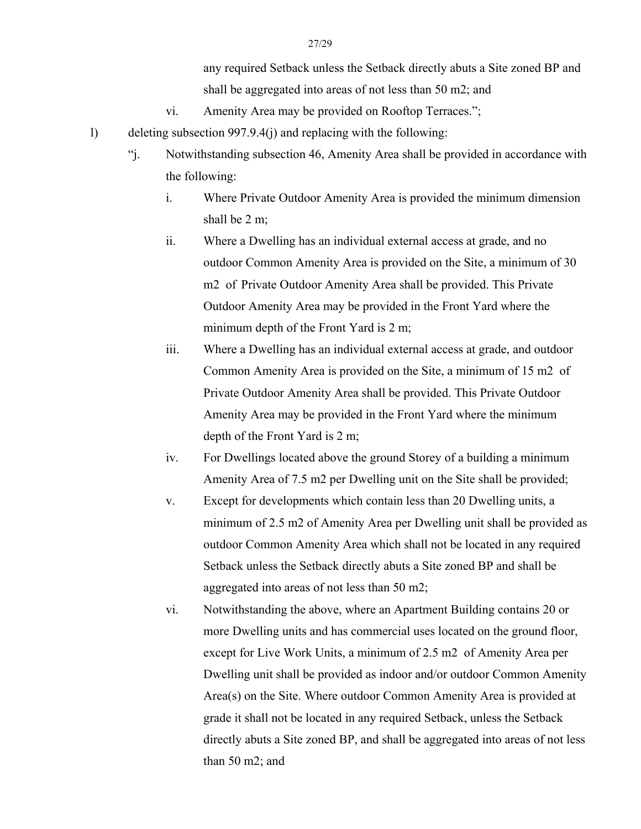any required Setback unless the Setback directly abuts a Site zoned BP and shall be aggregated into areas of not less than 50 m2; and

- vi. Amenity Area may be provided on Rooftop Terraces.";
- l) deleting subsection 997.9.4(j) and replacing with the following:
	- "j. Notwithstanding subsection 46, Amenity Area shall be provided in accordance with the following:
		- i. Where Private Outdoor Amenity Area is provided the minimum dimension shall be 2 m;
		- ii. Where a Dwelling has an individual external access at grade, and no outdoor Common Amenity Area is provided on the Site, a minimum of 30 m2 of Private Outdoor Amenity Area shall be provided. This Private Outdoor Amenity Area may be provided in the Front Yard where the minimum depth of the Front Yard is 2 m;
		- iii. Where a Dwelling has an individual external access at grade, and outdoor Common Amenity Area is provided on the Site, a minimum of 15 m2 of Private Outdoor Amenity Area shall be provided. This Private Outdoor Amenity Area may be provided in the Front Yard where the minimum depth of the Front Yard is 2 m;
		- iv. For Dwellings located above the ground Storey of a building a minimum Amenity Area of 7.5 m2 per Dwelling unit on the Site shall be provided;
		- v. Except for developments which contain less than 20 Dwelling units, a minimum of 2.5 m2 of Amenity Area per Dwelling unit shall be provided as outdoor Common Amenity Area which shall not be located in any required Setback unless the Setback directly abuts a Site zoned BP and shall be aggregated into areas of not less than 50 m2;
		- vi. Notwithstanding the above, where an Apartment Building contains 20 or more Dwelling units and has commercial uses located on the ground floor, except for Live Work Units, a minimum of 2.5 m2 of Amenity Area per Dwelling unit shall be provided as indoor and/or outdoor Common Amenity Area(s) on the Site. Where outdoor Common Amenity Area is provided at grade it shall not be located in any required Setback, unless the Setback directly abuts a Site zoned BP, and shall be aggregated into areas of not less than 50 m2; and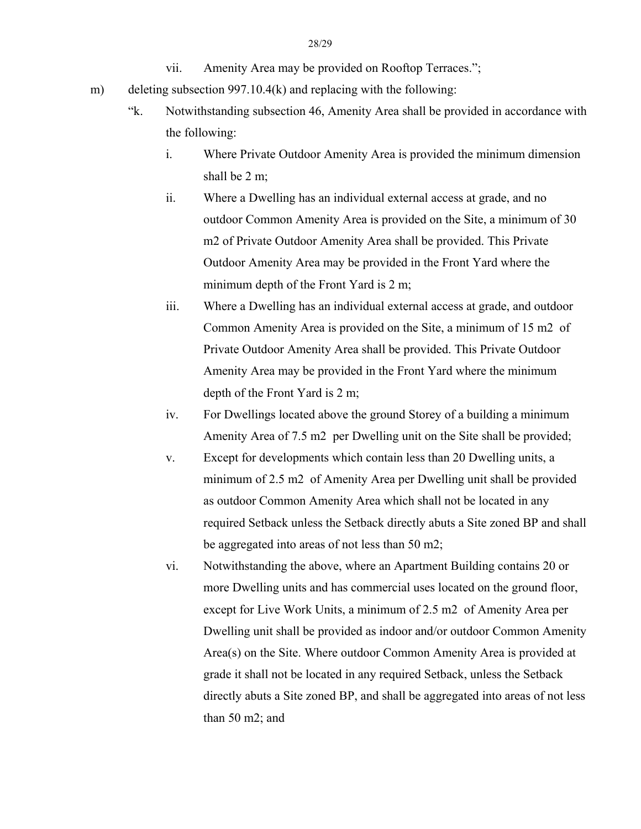- vii. Amenity Area may be provided on Rooftop Terraces.";
- m) deleting subsection 997.10.4(k) and replacing with the following:
	- "k. Notwithstanding subsection 46, Amenity Area shall be provided in accordance with the following:
		- i. Where Private Outdoor Amenity Area is provided the minimum dimension shall be 2 m;
		- ii. Where a Dwelling has an individual external access at grade, and no outdoor Common Amenity Area is provided on the Site, a minimum of 30 m2 of Private Outdoor Amenity Area shall be provided. This Private Outdoor Amenity Area may be provided in the Front Yard where the minimum depth of the Front Yard is 2 m;
		- iii. Where a Dwelling has an individual external access at grade, and outdoor Common Amenity Area is provided on the Site, a minimum of 15 m2 of Private Outdoor Amenity Area shall be provided. This Private Outdoor Amenity Area may be provided in the Front Yard where the minimum depth of the Front Yard is 2 m;
		- iv. For Dwellings located above the ground Storey of a building a minimum Amenity Area of 7.5 m2 per Dwelling unit on the Site shall be provided;
		- v. Except for developments which contain less than 20 Dwelling units, a minimum of 2.5 m2 of Amenity Area per Dwelling unit shall be provided as outdoor Common Amenity Area which shall not be located in any required Setback unless the Setback directly abuts a Site zoned BP and shall be aggregated into areas of not less than 50 m2;
		- vi. Notwithstanding the above, where an Apartment Building contains 20 or more Dwelling units and has commercial uses located on the ground floor, except for Live Work Units, a minimum of 2.5 m2 of Amenity Area per Dwelling unit shall be provided as indoor and/or outdoor Common Amenity Area(s) on the Site. Where outdoor Common Amenity Area is provided at grade it shall not be located in any required Setback, unless the Setback directly abuts a Site zoned BP, and shall be aggregated into areas of not less than 50 m2; and